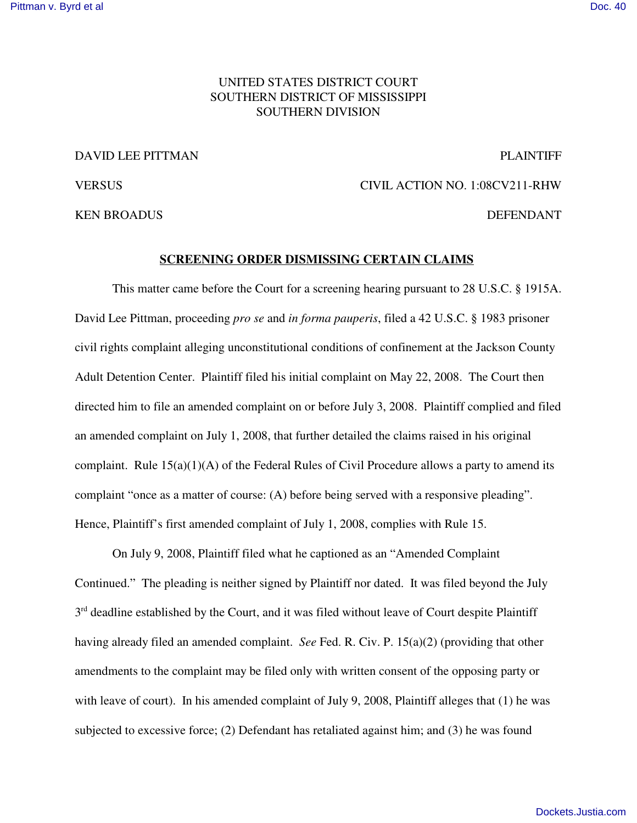# UNITED STATES DISTRICT COURT SOUTHERN DISTRICT OF MISSISSIPPI SOUTHERN DIVISION

## DAVID LEE PITTMAN PLAINTIFF

# VERSUS CIVIL ACTION NO. 1:08CV211-RHW

KEN BROADUS DEFENDANT

# **SCREENING ORDER DISMISSING CERTAIN CLAIMS**

This matter came before the Court for a screening hearing pursuant to 28 U.S.C. § 1915A. David Lee Pittman, proceeding *pro se* and *in forma pauperis*, filed a 42 U.S.C. § 1983 prisoner civil rights complaint alleging unconstitutional conditions of confinement at the Jackson County Adult Detention Center. Plaintiff filed his initial complaint on May 22, 2008. The Court then directed him to file an amended complaint on or before July 3, 2008. Plaintiff complied and filed an amended complaint on July 1, 2008, that further detailed the claims raised in his original complaint. Rule  $15(a)(1)(A)$  of the Federal Rules of Civil Procedure allows a party to amend its complaint "once as a matter of course: (A) before being served with a responsive pleading". Hence, Plaintiff's first amended complaint of July 1, 2008, complies with Rule 15.

On July 9, 2008, Plaintiff filed what he captioned as an "Amended Complaint Continued." The pleading is neither signed by Plaintiff nor dated. It was filed beyond the July 3<sup>rd</sup> deadline established by the Court, and it was filed without leave of Court despite Plaintiff having already filed an amended complaint. *See* Fed. R. Civ. P. 15(a)(2) (providing that other amendments to the complaint may be filed only with written consent of the opposing party or with leave of court). In his amended complaint of July 9, 2008, Plaintiff alleges that (1) he was subjected to excessive force; (2) Defendant has retaliated against him; and (3) he was found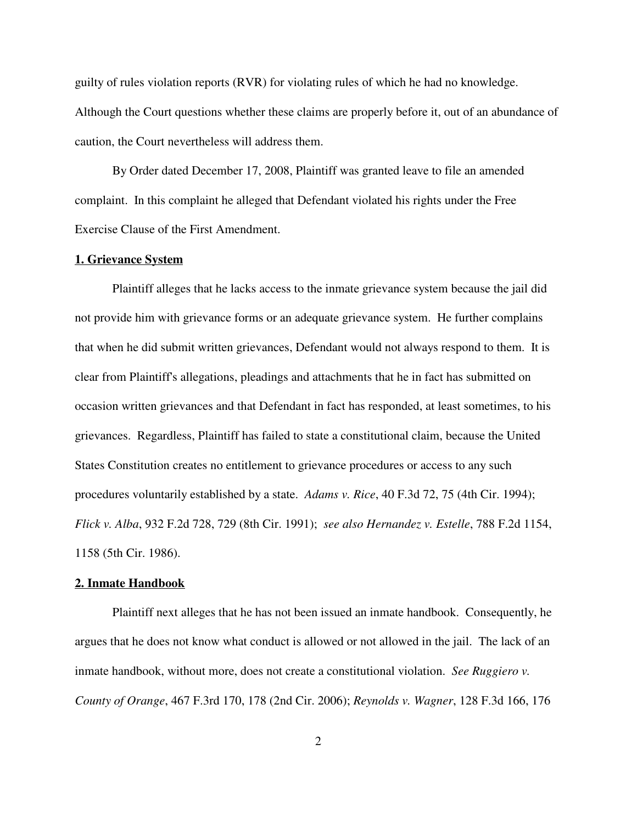guilty of rules violation reports (RVR) for violating rules of which he had no knowledge. Although the Court questions whether these claims are properly before it, out of an abundance of caution, the Court nevertheless will address them.

By Order dated December 17, 2008, Plaintiff was granted leave to file an amended complaint. In this complaint he alleged that Defendant violated his rights under the Free Exercise Clause of the First Amendment.

# **1. Grievance System**

Plaintiff alleges that he lacks access to the inmate grievance system because the jail did not provide him with grievance forms or an adequate grievance system. He further complains that when he did submit written grievances, Defendant would not always respond to them. It is clear from Plaintiff's allegations, pleadings and attachments that he in fact has submitted on occasion written grievances and that Defendant in fact has responded, at least sometimes, to his grievances. Regardless, Plaintiff has failed to state a constitutional claim, because the United States Constitution creates no entitlement to grievance procedures or access to any such procedures voluntarily established by a state. *Adams v. Rice*, 40 F.3d 72, 75 (4th Cir. 1994); *Flick v. Alba*, 932 F.2d 728, 729 (8th Cir. 1991); *see also Hernandez v. Estelle*, 788 F.2d 1154, 1158 (5th Cir. 1986).

### **2. Inmate Handbook**

Plaintiff next alleges that he has not been issued an inmate handbook. Consequently, he argues that he does not know what conduct is allowed or not allowed in the jail. The lack of an inmate handbook, without more, does not create a constitutional violation. *See Ruggiero v. County of Orange*, 467 F.3rd 170, 178 (2nd Cir. 2006); *Reynolds v. Wagner*, 128 F.3d 166, 176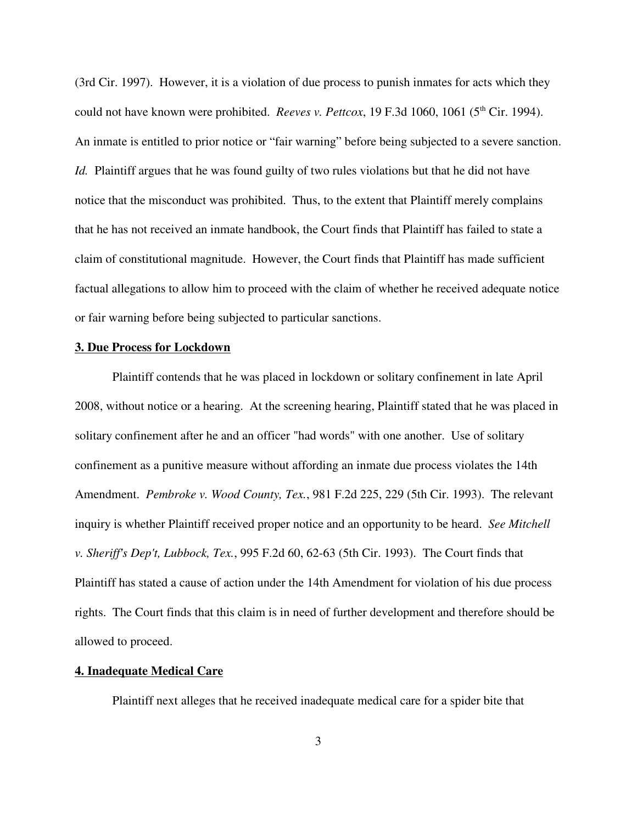(3rd Cir. 1997). However, it is a violation of due process to punish inmates for acts which they could not have known were prohibited. *Reeves v. Pettcox*, 19 F.3d 1060, 1061 (5<sup>th</sup> Cir. 1994). An inmate is entitled to prior notice or "fair warning" before being subjected to a severe sanction. *Id.* Plaintiff argues that he was found guilty of two rules violations but that he did not have notice that the misconduct was prohibited. Thus, to the extent that Plaintiff merely complains that he has not received an inmate handbook, the Court finds that Plaintiff has failed to state a claim of constitutional magnitude. However, the Court finds that Plaintiff has made sufficient factual allegations to allow him to proceed with the claim of whether he received adequate notice or fair warning before being subjected to particular sanctions.

#### **3. Due Process for Lockdown**

Plaintiff contends that he was placed in lockdown or solitary confinement in late April 2008, without notice or a hearing. At the screening hearing, Plaintiff stated that he was placed in solitary confinement after he and an officer "had words" with one another. Use of solitary confinement as a punitive measure without affording an inmate due process violates the 14th Amendment. *Pembroke v. Wood County, Tex.*, 981 F.2d 225, 229 (5th Cir. 1993). The relevant inquiry is whether Plaintiff received proper notice and an opportunity to be heard. *See Mitchell v. Sheriff's Dep't, Lubbock, Tex.*, 995 F.2d 60, 62-63 (5th Cir. 1993). The Court finds that Plaintiff has stated a cause of action under the 14th Amendment for violation of his due process rights. The Court finds that this claim is in need of further development and therefore should be allowed to proceed.

## **4. Inadequate Medical Care**

Plaintiff next alleges that he received inadequate medical care for a spider bite that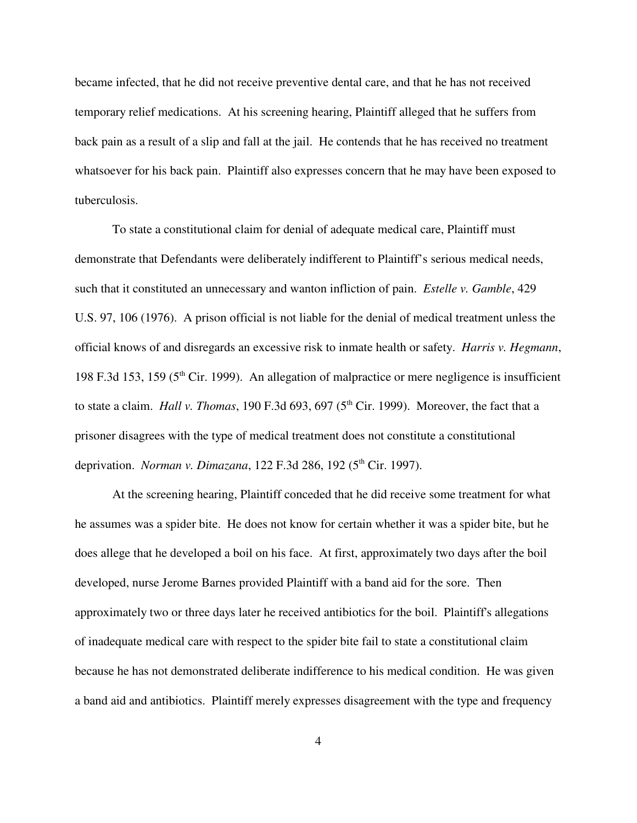became infected, that he did not receive preventive dental care, and that he has not received temporary relief medications. At his screening hearing, Plaintiff alleged that he suffers from back pain as a result of a slip and fall at the jail. He contends that he has received no treatment whatsoever for his back pain. Plaintiff also expresses concern that he may have been exposed to tuberculosis.

To state a constitutional claim for denial of adequate medical care, Plaintiff must demonstrate that Defendants were deliberately indifferent to Plaintiff's serious medical needs, such that it constituted an unnecessary and wanton infliction of pain. *Estelle v. Gamble*, 429 U.S. 97, 106 (1976). A prison official is not liable for the denial of medical treatment unless the official knows of and disregards an excessive risk to inmate health or safety. *Harris v. Hegmann*, 198 F.3d 153, 159 (5<sup>th</sup> Cir. 1999). An allegation of malpractice or mere negligence is insufficient to state a claim. *Hall v. Thomas*, 190 F.3d 693, 697 (5<sup>th</sup> Cir. 1999). Moreover, the fact that a prisoner disagrees with the type of medical treatment does not constitute a constitutional deprivation. *Norman v. Dimazana*, 122 F.3d 286, 192 (5 th Cir. 1997).

At the screening hearing, Plaintiff conceded that he did receive some treatment for what he assumes was a spider bite. He does not know for certain whether it was a spider bite, but he does allege that he developed a boil on his face. At first, approximately two days after the boil developed, nurse Jerome Barnes provided Plaintiff with a band aid for the sore. Then approximately two or three days later he received antibiotics for the boil. Plaintiff's allegations of inadequate medical care with respect to the spider bite fail to state a constitutional claim because he has not demonstrated deliberate indifference to his medical condition. He was given a band aid and antibiotics. Plaintiff merely expresses disagreement with the type and frequency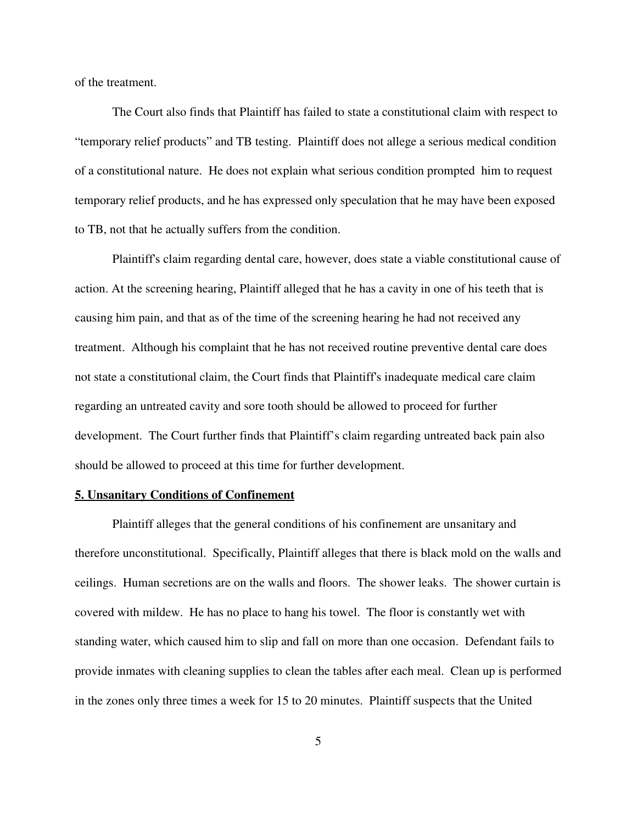of the treatment.

The Court also finds that Plaintiff has failed to state a constitutional claim with respect to "temporary relief products" and TB testing. Plaintiff does not allege a serious medical condition of a constitutional nature. He does not explain what serious condition prompted him to request temporary relief products, and he has expressed only speculation that he may have been exposed to TB, not that he actually suffers from the condition.

Plaintiff's claim regarding dental care, however, does state a viable constitutional cause of action. At the screening hearing, Plaintiff alleged that he has a cavity in one of his teeth that is causing him pain, and that as of the time of the screening hearing he had not received any treatment. Although his complaint that he has not received routine preventive dental care does not state a constitutional claim, the Court finds that Plaintiff's inadequate medical care claim regarding an untreated cavity and sore tooth should be allowed to proceed for further development. The Court further finds that Plaintiff's claim regarding untreated back pain also should be allowed to proceed at this time for further development.

### **5. Unsanitary Conditions of Confinement**

Plaintiff alleges that the general conditions of his confinement are unsanitary and therefore unconstitutional. Specifically, Plaintiff alleges that there is black mold on the walls and ceilings. Human secretions are on the walls and floors. The shower leaks. The shower curtain is covered with mildew. He has no place to hang his towel. The floor is constantly wet with standing water, which caused him to slip and fall on more than one occasion. Defendant fails to provide inmates with cleaning supplies to clean the tables after each meal. Clean up is performed in the zones only three times a week for 15 to 20 minutes. Plaintiff suspects that the United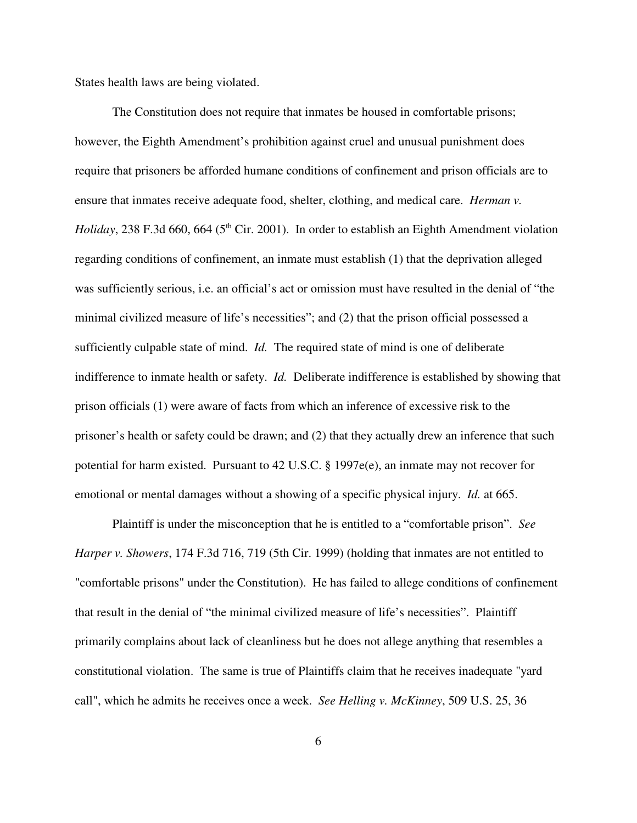States health laws are being violated.

The Constitution does not require that inmates be housed in comfortable prisons; however, the Eighth Amendment's prohibition against cruel and unusual punishment does require that prisoners be afforded humane conditions of confinement and prison officials are to ensure that inmates receive adequate food, shelter, clothing, and medical care. *Herman v.* Holiday, 238 F.3d 660, 664 (5<sup>th</sup> Cir. 2001). In order to establish an Eighth Amendment violation regarding conditions of confinement, an inmate must establish (1) that the deprivation alleged was sufficiently serious, i.e. an official's act or omission must have resulted in the denial of "the minimal civilized measure of life's necessities"; and (2) that the prison official possessed a sufficiently culpable state of mind. *Id.* The required state of mind is one of deliberate indifference to inmate health or safety. *Id.* Deliberate indifference is established by showing that prison officials (1) were aware of facts from which an inference of excessive risk to the prisoner's health or safety could be drawn; and (2) that they actually drew an inference that such potential for harm existed. Pursuant to 42 U.S.C. § 1997e(e), an inmate may not recover for emotional or mental damages without a showing of a specific physical injury. *Id.* at 665.

Plaintiff is under the misconception that he is entitled to a "comfortable prison". *See Harper v. Showers*, 174 F.3d 716, 719 (5th Cir. 1999) (holding that inmates are not entitled to "comfortable prisons" under the Constitution). He has failed to allege conditions of confinement that result in the denial of "the minimal civilized measure of life's necessities". Plaintiff primarily complains about lack of cleanliness but he does not allege anything that resembles a constitutional violation. The same is true of Plaintiffs claim that he receives inadequate "yard call", which he admits he receives once a week. *See Helling v. McKinney*, 509 U.S. 25, 36

6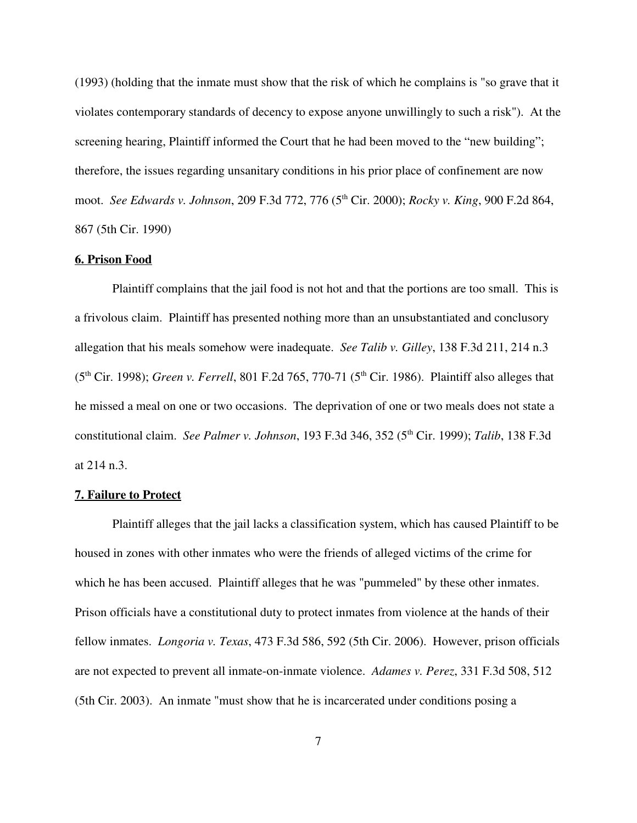(1993) (holding that the inmate must show that the risk of which he complains is "so grave that it violates contemporary standards of decency to expose anyone unwillingly to such a risk"). At the screening hearing, Plaintiff informed the Court that he had been moved to the "new building"; therefore, the issues regarding unsanitary conditions in his prior place of confinement are now moot. *See Edwards v. Johnson*, 209 F.3d 772, 776 (5 th Cir. 2000); *Rocky v. King*, 900 F.2d 864, 867 (5th Cir. 1990)

## **6. Prison Food**

Plaintiff complains that the jail food is not hot and that the portions are too small. This is a frivolous claim. Plaintiff has presented nothing more than an unsubstantiated and conclusory allegation that his meals somehow were inadequate. *See Talib v. Gilley*, 138 F.3d 211, 214 n.3 (5<sup>th</sup> Cir. 1998); *Green v. Ferrell*, 801 F.2d 765, 770-71 (5<sup>th</sup> Cir. 1986). Plaintiff also alleges that he missed a meal on one or two occasions. The deprivation of one or two meals does not state a constitutional claim. *See Palmer v. Johnson*, 193 F.3d 346, 352 (5 th Cir. 1999); *Talib*, 138 F.3d at 214 n.3.

### **7. Failure to Protect**

Plaintiff alleges that the jail lacks a classification system, which has caused Plaintiff to be housed in zones with other inmates who were the friends of alleged victims of the crime for which he has been accused. Plaintiff alleges that he was "pummeled" by these other inmates. Prison officials have a constitutional duty to protect inmates from violence at the hands of their fellow inmates. *Longoria v. Texas*, 473 F.3d 586, 592 (5th Cir. 2006). However, prison officials are not expected to prevent all inmate-on-inmate violence. *Adames v. Perez*, 331 F.3d 508, 512 (5th Cir. 2003). An inmate "must show that he is incarcerated under conditions posing a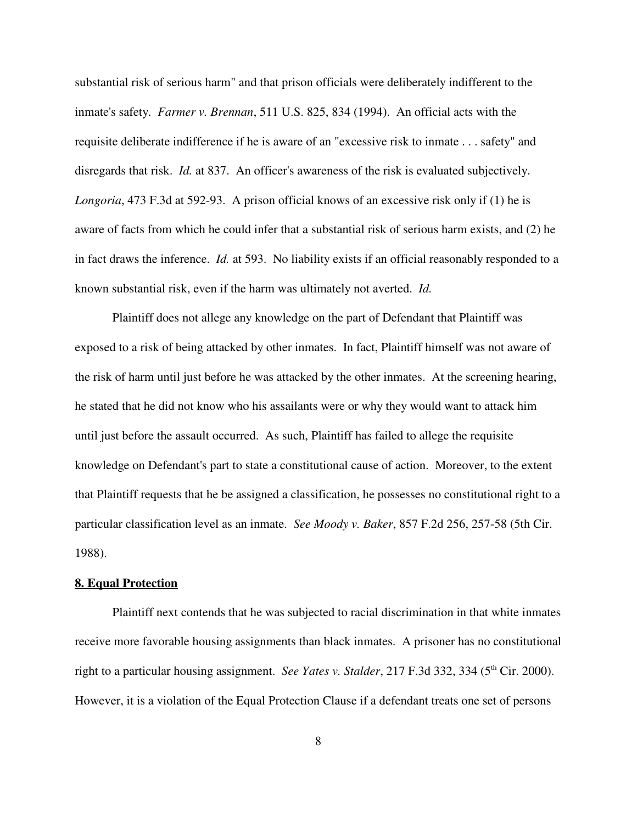substantial risk of serious harm" and that prison officials were deliberately indifferent to the inmate's safety. *Farmer v. Brennan*, 511 U.S. 825, 834 (1994). An official acts with the requisite deliberate indifference if he is aware of an "excessive risk to inmate . . . safety" and disregards that risk. *Id.* at 837. An officer's awareness of the risk is evaluated subjectively. *Longoria*, 473 F.3d at 592-93. A prison official knows of an excessive risk only if (1) he is aware of facts from which he could infer that a substantial risk of serious harm exists, and (2) he in fact draws the inference. *Id.* at 593. No liability exists if an official reasonably responded to a known substantial risk, even if the harm was ultimately not averted. *Id.*

Plaintiff does not allege any knowledge on the part of Defendant that Plaintiff was exposed to a risk of being attacked by other inmates. In fact, Plaintiff himself was not aware of the risk of harm until just before he was attacked by the other inmates. At the screening hearing, he stated that he did not know who his assailants were or why they would want to attack him until just before the assault occurred. As such, Plaintiff has failed to allege the requisite knowledge on Defendant's part to state a constitutional cause of action. Moreover, to the extent that Plaintiff requests that he be assigned a classification, he possesses no constitutional right to a particular classification level as an inmate. *See Moody v. Baker*, 857 F.2d 256, 257-58 (5th Cir. 1988).

# **8. Equal Protection**

Plaintiff next contends that he was subjected to racial discrimination in that white inmates receive more favorable housing assignments than black inmates. A prisoner has no constitutional right to a particular housing assignment. *See Yates v. Stalder*, 217 F.3d 332, 334 (5 th Cir. 2000). However, it is a violation of the Equal Protection Clause if a defendant treats one set of persons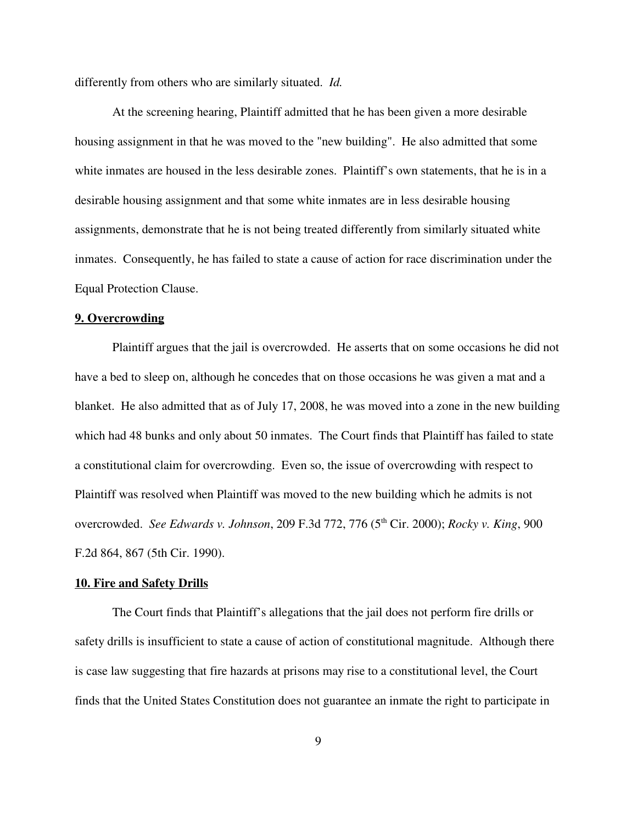differently from others who are similarly situated. *Id.*

At the screening hearing, Plaintiff admitted that he has been given a more desirable housing assignment in that he was moved to the "new building". He also admitted that some white inmates are housed in the less desirable zones. Plaintiff's own statements, that he is in a desirable housing assignment and that some white inmates are in less desirable housing assignments, demonstrate that he is not being treated differently from similarly situated white inmates. Consequently, he has failed to state a cause of action for race discrimination under the Equal Protection Clause.

### **9. Overcrowding**

Plaintiff argues that the jail is overcrowded. He asserts that on some occasions he did not have a bed to sleep on, although he concedes that on those occasions he was given a mat and a blanket. He also admitted that as of July 17, 2008, he was moved into a zone in the new building which had 48 bunks and only about 50 inmates. The Court finds that Plaintiff has failed to state a constitutional claim for overcrowding. Even so, the issue of overcrowding with respect to Plaintiff was resolved when Plaintiff was moved to the new building which he admits is not overcrowded. *See Edwards v. Johnson*, 209 F.3d 772, 776 (5 th Cir. 2000); *Rocky v. King*, 900 F.2d 864, 867 (5th Cir. 1990).

### **10. Fire and Safety Drills**

The Court finds that Plaintiff's allegations that the jail does not perform fire drills or safety drills is insufficient to state a cause of action of constitutional magnitude. Although there is case law suggesting that fire hazards at prisons may rise to a constitutional level, the Court finds that the United States Constitution does not guarantee an inmate the right to participate in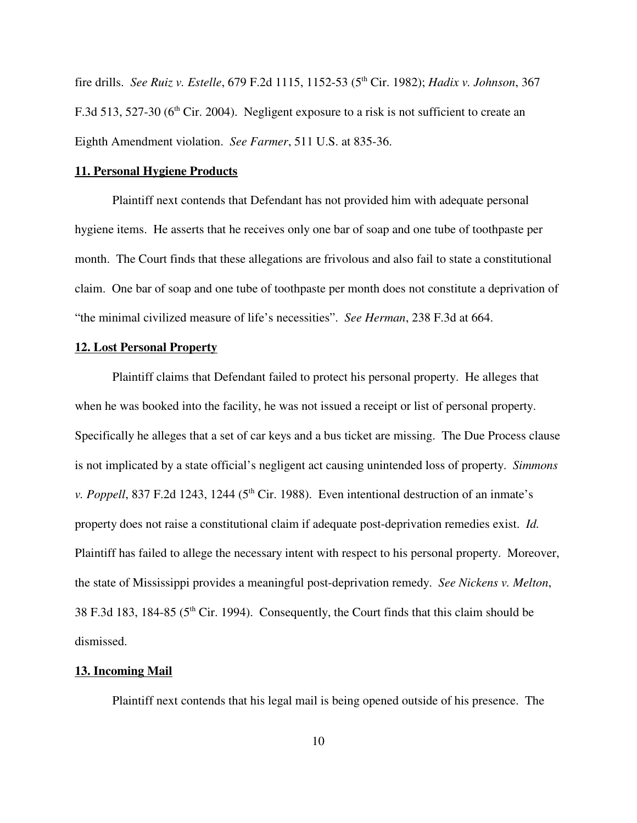fire drills. *See Ruiz v. Estelle*, 679 F.2d 1115, 1152-53 (5 th Cir. 1982); *Hadix v. Johnson*, 367 F.3d 513, 527-30 ( $6<sup>th</sup>$  Cir. 2004). Negligent exposure to a risk is not sufficient to create an Eighth Amendment violation. *See Farmer*, 511 U.S. at 835-36.

# **11. Personal Hygiene Products**

Plaintiff next contends that Defendant has not provided him with adequate personal hygiene items. He asserts that he receives only one bar of soap and one tube of toothpaste per month. The Court finds that these allegations are frivolous and also fail to state a constitutional claim. One bar of soap and one tube of toothpaste per month does not constitute a deprivation of "the minimal civilized measure of life's necessities". *See Herman*, 238 F.3d at 664.

### **12. Lost Personal Property**

Plaintiff claims that Defendant failed to protect his personal property. He alleges that when he was booked into the facility, he was not issued a receipt or list of personal property. Specifically he alleges that a set of car keys and a bus ticket are missing. The Due Process clause is not implicated by a state official's negligent act causing unintended loss of property. *Simmons* v. Poppell, 837 F.2d 1243, 1244 (5<sup>th</sup> Cir. 1988). Even intentional destruction of an inmate's property does not raise a constitutional claim if adequate post-deprivation remedies exist. *Id.* Plaintiff has failed to allege the necessary intent with respect to his personal property. Moreover, the state of Mississippi provides a meaningful post-deprivation remedy. *See Nickens v. Melton*, 38 F.3d 183, 184-85 ( $5<sup>th</sup>$  Cir. 1994). Consequently, the Court finds that this claim should be dismissed.

#### **13. Incoming Mail**

Plaintiff next contends that his legal mail is being opened outside of his presence. The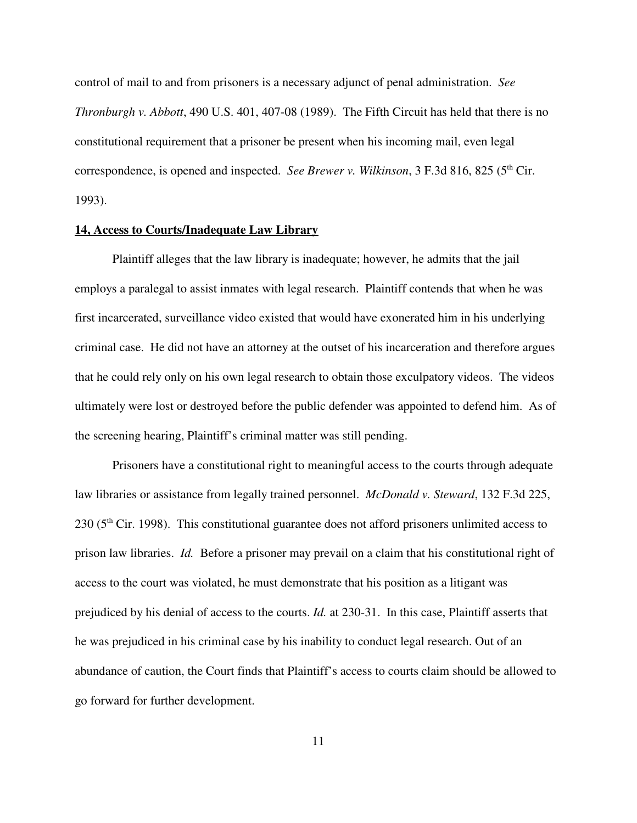control of mail to and from prisoners is a necessary adjunct of penal administration. *See Thronburgh v. Abbott*, 490 U.S. 401, 407-08 (1989). The Fifth Circuit has held that there is no constitutional requirement that a prisoner be present when his incoming mail, even legal correspondence, is opened and inspected. *See Brewer v. Wilkinson*, 3 F.3d 816, 825 (5 th Cir. 1993).

#### **14, Access to Courts/Inadequate Law Library**

Plaintiff alleges that the law library is inadequate; however, he admits that the jail employs a paralegal to assist inmates with legal research. Plaintiff contends that when he was first incarcerated, surveillance video existed that would have exonerated him in his underlying criminal case. He did not have an attorney at the outset of his incarceration and therefore argues that he could rely only on his own legal research to obtain those exculpatory videos. The videos ultimately were lost or destroyed before the public defender was appointed to defend him. As of the screening hearing, Plaintiff's criminal matter was still pending.

Prisoners have a constitutional right to meaningful access to the courts through adequate law libraries or assistance from legally trained personnel. *McDonald v. Steward*, 132 F.3d 225, 230 (5<sup>th</sup> Cir. 1998). This constitutional guarantee does not afford prisoners unlimited access to prison law libraries. *Id.* Before a prisoner may prevail on a claim that his constitutional right of access to the court was violated, he must demonstrate that his position as a litigant was prejudiced by his denial of access to the courts. *Id.* at 230-31. In this case, Plaintiff asserts that he was prejudiced in his criminal case by his inability to conduct legal research. Out of an abundance of caution, the Court finds that Plaintiff's access to courts claim should be allowed to go forward for further development.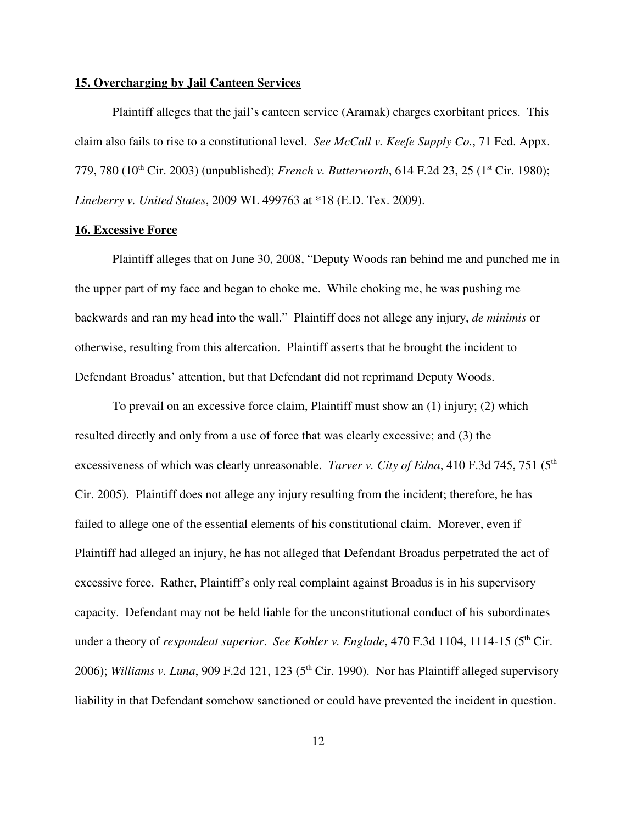### **15. Overcharging by Jail Canteen Services**

Plaintiff alleges that the jail's canteen service (Aramak) charges exorbitant prices. This claim also fails to rise to a constitutional level. *See McCall v. Keefe Supply Co.*, 71 Fed. Appx. 779, 780 (10<sup>th</sup> Cir. 2003) (unpublished); *French v. Butterworth*, 614 F.2d 23, 25 (1<sup>st</sup> Cir. 1980); *Lineberry v. United States*, 2009 WL 499763 at \*18 (E.D. Tex. 2009).

### **16. Excessive Force**

Plaintiff alleges that on June 30, 2008, "Deputy Woods ran behind me and punched me in the upper part of my face and began to choke me. While choking me, he was pushing me backwards and ran my head into the wall." Plaintiff does not allege any injury, *de minimis* or otherwise, resulting from this altercation. Plaintiff asserts that he brought the incident to Defendant Broadus' attention, but that Defendant did not reprimand Deputy Woods.

To prevail on an excessive force claim, Plaintiff must show an (1) injury; (2) which resulted directly and only from a use of force that was clearly excessive; and (3) the excessiveness of which was clearly unreasonable. *Tarver v. City of Edna*, 410 F.3d 745, 751 (5 th Cir. 2005). Plaintiff does not allege any injury resulting from the incident; therefore, he has failed to allege one of the essential elements of his constitutional claim. Morever, even if Plaintiff had alleged an injury, he has not alleged that Defendant Broadus perpetrated the act of excessive force. Rather, Plaintiff's only real complaint against Broadus is in his supervisory capacity. Defendant may not be held liable for the unconstitutional conduct of his subordinates under a theory of *respondeat superior*. *See Kohler v. Englade*, 470 F.3d 1104, 1114-15 (5 th Cir. 2006); *Williams v. Luna*, 909 F.2d 121, 123 (5 th Cir. 1990). Nor has Plaintiff alleged supervisory liability in that Defendant somehow sanctioned or could have prevented the incident in question.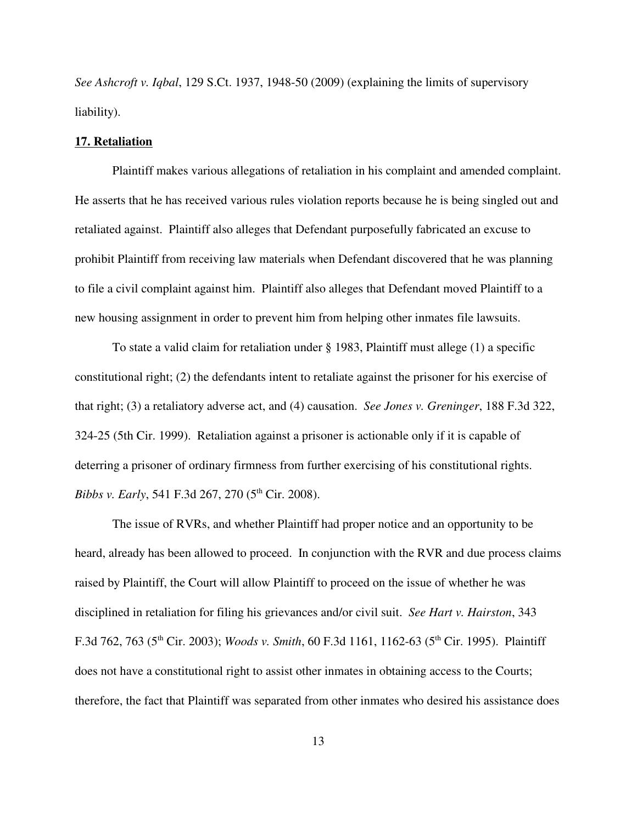*See Ashcroft v. Iqbal*, 129 S.Ct. 1937, 1948-50 (2009) (explaining the limits of supervisory liability).

#### **17. Retaliation**

Plaintiff makes various allegations of retaliation in his complaint and amended complaint. He asserts that he has received various rules violation reports because he is being singled out and retaliated against. Plaintiff also alleges that Defendant purposefully fabricated an excuse to prohibit Plaintiff from receiving law materials when Defendant discovered that he was planning to file a civil complaint against him. Plaintiff also alleges that Defendant moved Plaintiff to a new housing assignment in order to prevent him from helping other inmates file lawsuits.

To state a valid claim for retaliation under § 1983, Plaintiff must allege (1) a specific constitutional right; (2) the defendants intent to retaliate against the prisoner for his exercise of that right; (3) a retaliatory adverse act, and (4) causation. *See Jones v. Greninger*, 188 F.3d 322, 324-25 (5th Cir. 1999). Retaliation against a prisoner is actionable only if it is capable of deterring a prisoner of ordinary firmness from further exercising of his constitutional rights. *Bibbs v. Early*, 541 F.3d 267, 270 (5<sup>th</sup> Cir. 2008).

The issue of RVRs, and whether Plaintiff had proper notice and an opportunity to be heard, already has been allowed to proceed. In conjunction with the RVR and due process claims raised by Plaintiff, the Court will allow Plaintiff to proceed on the issue of whether he was disciplined in retaliation for filing his grievances and/or civil suit. *See Hart v. Hairston*, 343 F.3d 762, 763 (5 th Cir. 2003); *Woods v. Smith*, 60 F.3d 1161, 1162-63 (5 th Cir. 1995). Plaintiff does not have a constitutional right to assist other inmates in obtaining access to the Courts; therefore, the fact that Plaintiff was separated from other inmates who desired his assistance does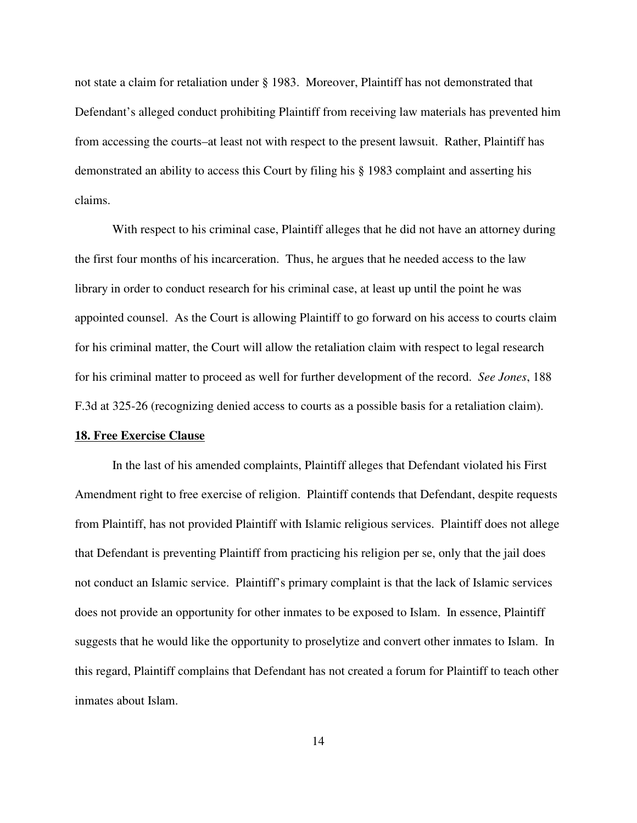not state a claim for retaliation under § 1983. Moreover, Plaintiff has not demonstrated that Defendant's alleged conduct prohibiting Plaintiff from receiving law materials has prevented him from accessing the courts–at least not with respect to the present lawsuit. Rather, Plaintiff has demonstrated an ability to access this Court by filing his § 1983 complaint and asserting his claims.

With respect to his criminal case, Plaintiff alleges that he did not have an attorney during the first four months of his incarceration. Thus, he argues that he needed access to the law library in order to conduct research for his criminal case, at least up until the point he was appointed counsel. As the Court is allowing Plaintiff to go forward on his access to courts claim for his criminal matter, the Court will allow the retaliation claim with respect to legal research for his criminal matter to proceed as well for further development of the record. *See Jones*, 188 F.3d at 325-26 (recognizing denied access to courts as a possible basis for a retaliation claim).

#### **18. Free Exercise Clause**

In the last of his amended complaints, Plaintiff alleges that Defendant violated his First Amendment right to free exercise of religion. Plaintiff contends that Defendant, despite requests from Plaintiff, has not provided Plaintiff with Islamic religious services. Plaintiff does not allege that Defendant is preventing Plaintiff from practicing his religion per se, only that the jail does not conduct an Islamic service. Plaintiff's primary complaint is that the lack of Islamic services does not provide an opportunity for other inmates to be exposed to Islam. In essence, Plaintiff suggests that he would like the opportunity to proselytize and convert other inmates to Islam. In this regard, Plaintiff complains that Defendant has not created a forum for Plaintiff to teach other inmates about Islam.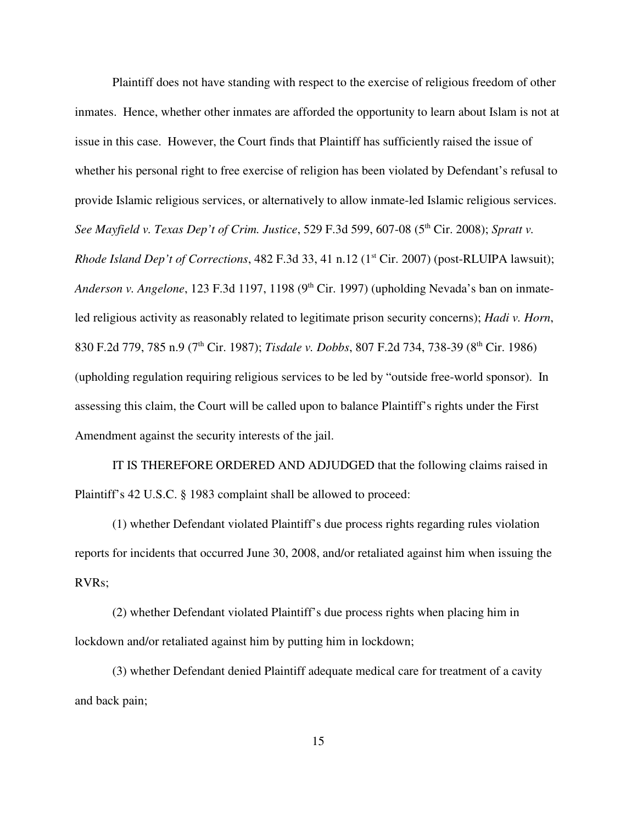Plaintiff does not have standing with respect to the exercise of religious freedom of other inmates. Hence, whether other inmates are afforded the opportunity to learn about Islam is not at issue in this case. However, the Court finds that Plaintiff has sufficiently raised the issue of whether his personal right to free exercise of religion has been violated by Defendant's refusal to provide Islamic religious services, or alternatively to allow inmate-led Islamic religious services. *See Mayfield v. Texas Dep't of Crim. Justice*, 529 F.3d 599, 607-08 (5 th Cir. 2008); *Spratt v. Rhode Island Dep't of Corrections*, 482 F.3d 33, 41 n.12 (1 st Cir. 2007) (post-RLUIPA lawsuit); Anderson v. Angelone, 123 F.3d 1197, 1198 (9<sup>th</sup> Cir. 1997) (upholding Nevada's ban on inmateled religious activity as reasonably related to legitimate prison security concerns); *Hadi v. Horn*, 830 F.2d 779, 785 n.9 (7 th Cir. 1987); *Tisdale v. Dobbs*, 807 F.2d 734, 738-39 (8 th Cir. 1986) (upholding regulation requiring religious services to be led by "outside free-world sponsor). In assessing this claim, the Court will be called upon to balance Plaintiff's rights under the First Amendment against the security interests of the jail.

IT IS THEREFORE ORDERED AND ADJUDGED that the following claims raised in Plaintiff's 42 U.S.C. § 1983 complaint shall be allowed to proceed:

(1) whether Defendant violated Plaintiff's due process rights regarding rules violation reports for incidents that occurred June 30, 2008, and/or retaliated against him when issuing the RVRs;

(2) whether Defendant violated Plaintiff's due process rights when placing him in lockdown and/or retaliated against him by putting him in lockdown;

(3) whether Defendant denied Plaintiff adequate medical care for treatment of a cavity and back pain;